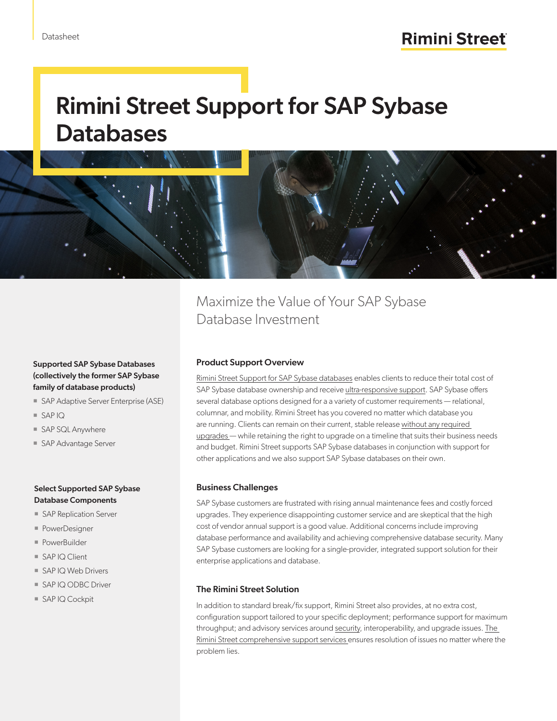# Rimini Street Support for SAP Sybase **Databases**



# Supported SAP Sybase Databases (collectively the former SAP Sybase family of database products)

- SAP Adaptive Server Enterprise (ASE)
- SAP IQ
- SAP SQL Anywhere
- SAP Advantage Server

### Select Supported SAP Sybase Database Components

- SAP Replication Server
- PowerDesigner
- PowerBuilder
- SAP IQ Client
- SAP IQ Web Drivers
- SAP IQ ODBC Driver
- SAP IQ Cockpit

Maximize the Value of Your SAP Sybase Database Investment

## Product Support Overview

[Rimini Street Support for SAP Sybase databases](https://www.riministreet.com/solutions/sap/sybase/) enables clients to reduce their total cost of SAP Sybase database ownership and receive [ultra-responsive support.](https://www.riministreet.com/solutions/objective/responsive-service/) SAP Sybase offers several database options designed for a a variety of customer requirements — relational, columnar, and mobility. Rimini Street has you covered no matter which database you are running. Clients can remain on their current, stable release [without any required](https://www.riministreet.com/solutions/objective/expensive-upgrades/)  [upgrades —](https://www.riministreet.com/solutions/objective/expensive-upgrades/) while retaining the right to upgrade on a timeline that suits their business needs and budget. Rimini Street supports SAP Sybase databases in conjunction with support for other applications and we also support SAP Sybase databases on their own.

### Business Challenges

SAP Sybase customers are frustrated with rising annual maintenance fees and costly forced upgrades. They experience disappointing customer service and are skeptical that the high cost of vendor annual support is a good value. Additional concerns include improving database performance and availability and achieving comprehensive database security. Many SAP Sybase customers are looking for a single-provider, integrated support solution for their enterprise applications and database.

### The Rimini Street Solution

In addition to standard break/fix support, Rimini Street also provides, at no extra cost, configuration support tailored to your specific deployment; performance support for maximum throughput; and advisory services around [security,](https://www.riministreet.com/solutions/support-services/security/) interoperability, and upgrade issues. The [Rimini Street comprehensive support services e](https://www.riministreet.com/solutions/support-services/)nsures resolution of issues no matter where the problem lies.